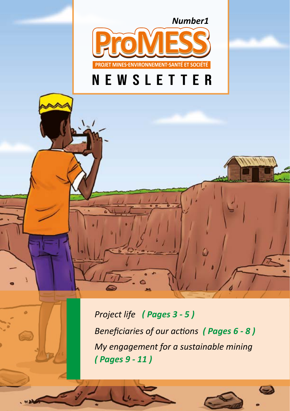*Number1*



## newsletter

*Project life ( Pages 3 - 5 ) Beneficiaries of our actions ( Pages 6 - 8 ) My engagement for a sustainable mining ( Pages 9 - 11 )*

*Newsletter n°01 <sup>J</sup>une 2020 Newsletter n°01 <sup>J</sup>une 2020* **- 1 -**

۵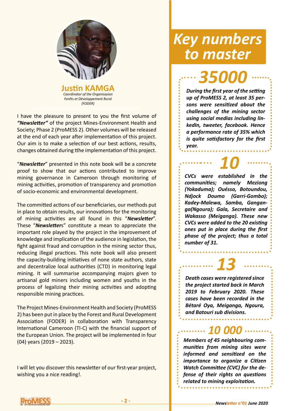

I have the pleasure to present to you the first volume of *"Newsletter"* of the project Mines-Environment Health and Society; Phase 2 (ProMESS 2). Other volumes will be released at the end of each year after implementation of this project. Our aim is to make a selection of our best actions, results, changes obtained during tthe implementation of this project.

"*Newsletter*" presented in this note book will be a concrete proof to show that our actions contributed to improve mining governance in Cameroon through monitoring of mining activities, promotion of transparency and promotion of socio-economic and environmental development.

The committed actions of our beneficiaries, our methods put in place to obtain results, our innovations for the monitoring of mining activities are all found in this "*Newsletter*". These "*Newsletter*s" constitute a mean to appreciate the important role played by the project in the improvement of knowledge and implication of the audience in legislation, the fight against fraud and corruption in the mining sector thus, reducing illegal practices. This note book will also present the capacity-building initiatives of none state authors, state and decentralize local authorities (CTD) in monitoring legal mining. It will summarise accompanying majors given to artisanal gold miners including women and youths in the process of legalizing their mining activities and adopting responsible mining practices.

The Project Mines-Environment Health and Society (ProMESS 2) has been put in place by the Forest and Rural Development Association (FODER) in collaboration with Transparency International Cameroon (TI-C) with the financial support of the European Union. The project will be implemented in four (04) years (2019 – 2023).

I will let you discover this newsletter of our first-year project, wishing you a nice reading!.

#### *Key numbers to master*

*35000*

*During the first year of the setting up of ProMESS 2, at least 35 persons were sensitized about the challenges of the mining sector using social medias including linkedIn, tweeter, facebook. Hence a performance rate of 35% which is quite satisfactory for the first year.*

*CVCs were established in the communities; namely Meziong (Yokaduma); Ouésso, Botoundou, Ndjock Doumo (Garri-Gombo); Kadey-Malewa, Samba, Ganganga(Ngoura); Gala, Secretaire and Wakasso (Meiganga). These new CVCs were added to the 20 existing ones put in place during the first phase of the project; thus a total number of 31. 10*

*Death cases were registered since the project started back in March 2019 to February 2020. These cases have been recorded in the Bétaré Oya, Meiganga, Ngoura, and Batouri sub divisions. 13*

*Members of 45 neighbouring communities from mining sites were informed and sensitized on the importance to organize a Citizen Watch Committee (CVC) for the defense of their rights on questions related to mining exploitation.*

*10 000*

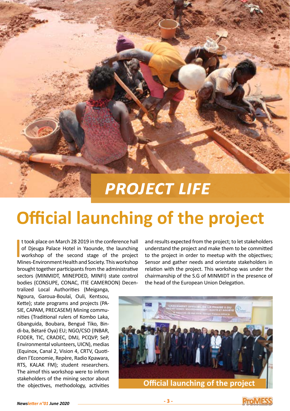# *Project life*

# **Official launching of the project**

 $\begin{bmatrix} 1 \\ 0 \\ 0 \\ 0 \end{bmatrix}$ t took place on March 28 2019 in the conference hall of Djeuga Palace Hotel in Yaounde, the launching workshop of the second stage of the project Mines-Environment Health and Society. This workshop brought together participants from the administrative sectors (MINMIDT, MINEPDED, MINFI) state control bodies (CONSUPE, CONAC, ITIE CAMEROON) Decen-

tralized Local Authorities (Meiganga, Ngoura, Garoua-Boulaï, Ouli, Kentsou, Kette); state programs and projects (PA-SIE, CAPAM, PRECASEM) Mining communities (Traditional rulers of Kombo Laka, Gbanguida, Boubara, Bengué Tiko, Bindi-ba, Bétaré Oya) EU; NGO/CSO (INBAR, FODER, TIC, CRADEC, DMJ, PCQVP, SeP, Environmental volunteers, UICN), medias (Equinox, Canal 2, Vision 4, CRTV, Quotidien l'Economie, Repère, Radio Kpawara, RTS, KALAK FM); student researchers. The aimof this workshop were to inform stakeholders of the mining sector about the objectives, methodology, activities

and results expected from the project; to let stakeholders understand the project and make them to be committed to the project in order to meetup with the objectives; Sensor and gather needs and orientate stakeholders in relation with the project. This workshop was under the chairmanship of the S.G of MINMIDT in the presence of the head of the European Union Delegation.





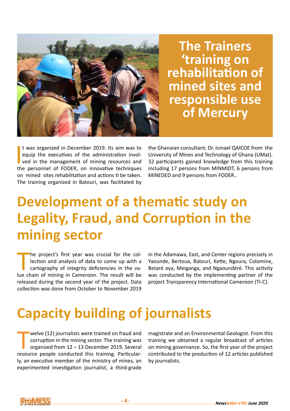

**The Trainers 'training on rehabilitation of mined sites and responsible use of Mercury**

It was organized in December 2019. Its aim was to equip the executives of the administration involved in the management of mining resources and the personnel of FODER, on innovative techniques t was organized in December 2019. Its aim was to equip the executives of the administration involved in the management of mining resources and on mined sites rehabilitation and actions ti be taken. The training organized in Batouri, was facilitated by

the Ghanaian consultant; Dr. Ismael QAICOE from the University of Mines and Technology of Ghana (UMat). 32 participants gained knowledge from this training including 17 persons from MINMIDT, 6 persons from MINEDED and 9 persons from FODER..

## **Development of a thematic study on Legality, Fraud, and Corruption in the mining sector**

The project's first year was crucial for the collection and analysis of data to come up with a cartography of integrity deficiencies in the value chain of mining in Cameroon. The result will be he project's first year was crucial for the collection and analysis of data to come up with a cartography of integrity deficiencies in the vareleased during the second year of the project. Data collection was done from October to November 2019

in the Adamawa, East, and Center regions precisely in Yaounde, Bertoua, Batouri, Kette, Ngoura, Colomine, Betaré oya, Meiganga, and Ngaoundéré. This activity was conducted by the implementing partner of the project Transparency International Cameroon (TI-C).

## **Capacity building of journalists**

welve (12) journalists were trained on fraud and<br>corruption in the mining sector. The training was<br>organized from 12 – 13 December 2019. Several<br>resource people conducted this training. Particularwelve (12) journalists were trained on fraud and corruption in the mining sector. The training was organized from 12 – 13 December 2019. Several ly, an executive member of the ministry of mines, an experimented investigation journalist, a third-grade

magistrate and an Environmental Geologist. From this training we obtained a regular broadcast of articles on mining governance. So, the first year of the project contributed to the production of 12 articles published by journalists.

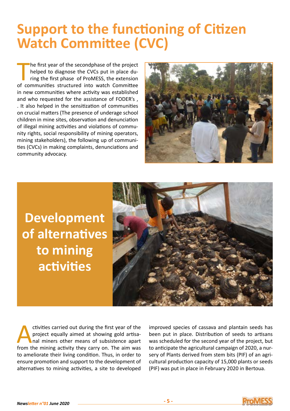#### **Support to the functioning of Citizen Watch Committee (CVC)**

The first year of the secondphase of the project<br>helped to diagnose the CVCs put in place du-<br>ring the first phase of ProMESS, the extension<br>of communities structured into watch Committee he first year of the secondphase of the project helped to diagnose the CVCs put in place during the first phase of ProMESS, the extension in new communities where activity was established and who requested for the assistance of FODER's , . It also helped in the sensitization of communities on crucial matters (The presence of underage school children in mine sites, observation and denunciation of illegal mining activities and violations of community rights, social responsibility of mining operators, mining stakeholders), the following up of communities (CVCs) in making complaints, denunciations and community advocacy.



**Development of alternatives to mining activities**



ctivities carried out during the first year of the project equally aimed at showing gold artisanal miners other means of subsistence apart from the mining activity they carry on. The aim was to ameliorate their living condition. Thus, in order to ensure promotion and support to the development of alternatives to mining activities, a site to developed

improved species of cassava and plantain seeds has been put in place. Distribution of seeds to artisans was scheduled for the second year of the project, but to anticipate the agricultural campaign of 2020, a nursery of Plants derived from stem bits (PIF) of an agricultural production capacity of 15,000 plants or seeds (PIF) was put in place in February 2020 in Bertoua.

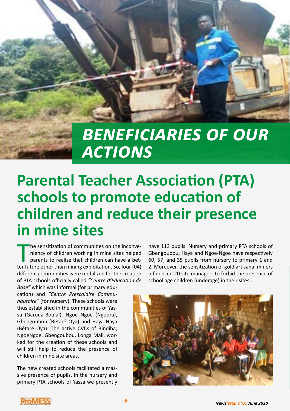

# *Beneficiaries of our actions*

## **Parental Teacher Association (PTA) schools to promote education of children and reduce their presence in mine sites**

The sensitization of communities on the inconveniency of children working in mine sites helped parents to realize that children can have a better future other than mining exploitation. So, four (04) he sensitization of communities on the inconveniency of children working in mine sites helped parents to realize that children can have a betdifferent communities were mobilized for the creation of PTA schools officially called *"Centre d'Education de Base"* which was informal (for primary edu-

cation) and *"Centre Préscolaire Communautaire"* (for nursery). These schools were thus established in the communities of Yassa (Garoua-Boulaï), Ngoe Ngoe (Ngoura), Gbengoubou (Bétaré Oya) and Haya Haya (Bétaré Oya). The active CVCs of Bindiba, NgoeNgoe, Gbengoubou, Longa Mali, worked for the creation of these schools and will still help to reduce the presence of children in mine site areas.

The new created schools facilitated a massive presence of pupils. In the nursery and primary PTA schools of Yassa we presently

have 113 pupils. Nursery and primary PTA schools of Gbengoubou, Haya and Ngoe-Ngoe have respectively 60, 57, and 35 pupils from nursery to primary 1 and 2. Moreover, the sensitization of gold artisanal miners influenced 20 site managers to forbid the presence of school age children (underage) in their sites..



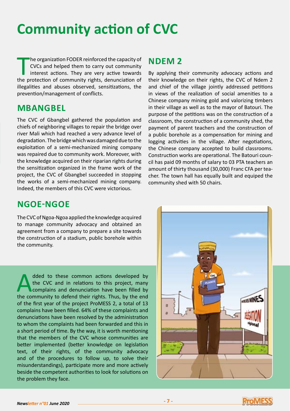#### **Community action of CVC**

The organization FODER reinforced the capacity of<br>CVCs and helped them to carry out community<br>interest actions. They are very active towards<br>the protection of community rights, denunciation of he organization FODER reinforced the capacity of CVCs and helped them to carry out community interest actions. They are very active towards illegalities and abuses observed, sensitizations, the prevention/management of conflicts.

#### **MBANGBEL**

The CVC of Gbangbel gathered the population and chiefs of neighboring villages to repair the bridge over river Mali which had reached a very advance level of degradation. The bridge which was damaged due to the exploitation of a semi-mechanized mining company was repaired due to community work. Moreover, with the knowledge acquired on their riparian rights during the sensitization organized in the frame work of the project, the CVC of Gbangbel succeeded in stopping the works of a semi-mechanized mining company. Indeed, the members of this CVC were victorious.

#### **NDEM 2**

By applying their community advocacy actions and their knowledge on their rights, the CVC of Ndem 2 and chief of the village jointly addressed petitions in views of the realization of social amenities to a Chinese company mining gold and valorizing timbers in their village as well as to the mayor of Batouri. The purpose of the petitions was on the construction of a classroom, the construction of a community shed, the payment of parent teachers and the construction of a public borehole as a compensation for mining and logging activities in the village. After negotiations, the Chinese company accepted to build classrooms. Construction works are operational. The Batouri council has paid 09 months of salary to 03 PTA teachers an amount of thirty thousand (30,000) Franc CFA per teacher. The town hall has equally built and equiped the community shed with 50 chairs.

#### **NGOE-NGOE**

The CVC of Ngoa-Ngoa applied the knowledge acquired to manage community advocacy and obtained an agreement from a company to prepare a site towards the construction of a stadium, public borehole within the community.

dded to these common actions developed by<br>the CVC and in relations to this project, many<br>complains and denunciation have been filled by<br>the community to defend their rights. Thus, by the end the CVC and in relations to this project, many complains and denunciation have been filled by the community to defend their rights. Thus, by the end of the first year of the project ProMESS 2, a total of 13 complains have been filled. 64% of these complaints and denunciations have been resolved by the administration to whom the complaints had been forwarded and this in a short period of time. By the way, it is worth mentioning that the members of the CVC whose communities are better implemented (better knowledge on legislation text, of their rights, of the community advocacy and of the procedures to follow up, to solve their misunderstandings), participate more and more actively beside the competent authorities to look for solutions on the problem they face.



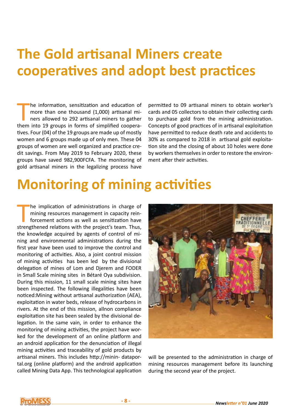### **The Gold artisanal Miners create cooperatives and adopt best practices**

The information, sensitization and education of<br>
more than one thousand (1,000) artisanal mi-<br>
ners allowed to 292 artisanal miners to gather<br>
them into 19 groups in forms of simplified cooperahe information, sensitization and education of more than one thousand (1,000) artisanal miners allowed to 292 artisanal miners to gather tives. Four (04) of the 19 groups are made up of mostly women and 6 groups made up of only men. These 04 groups of women are well organized and practice credit savings. From May 2019 to February 2020, these groups have saved 982,900FCFA. The monitoring of gold artisanal miners in the legalizing process have

permitted to 09 artisanal miners to obtain worker's cards and 05 collectors to obtain their collecting cards to purchase gold from the mining administration. Concepts of good practices of in artisanal exploitation have permitted to reduce death rate and accidents to 30% as compared to 2018 in artisanal gold exploitation site and the closing of about 10 holes were done by workers themselves in order to restore the environment after their activities.

#### **Monitoring of mining activities**

The implication of administrations in charge of mining resources management in capacity rein-<br>forcement actions as well as sensitization have<br>strengthened relations with the project's team. Thus, he implication of administrations in charge of mining resources management in capacity reinforcement actions as well as sensitization have the knowledge acquired by agents of control of mining and environmental administrations during the first year have been used to improve the control and monitoring of activities. Also, a joint control mission of mining activities has been led by the divisional delegation of mines of Lom and Djerem and FODER in Small Scale mining sites in Bétaré Oya subdivision. During this mission, 11 small scale mining sites have been inspected. The following illegalities have been noticed:Mining without artisanal authorization (AEA), exploitation in water beds, release of hydrocarbons in rivers. At the end of this mission, allnon compliance exploitation site has been sealed by the divisional delegation. In the same vain, in order to enhance the monitoring of mining activities, the project have worked for the development of an online platform and an android application for the denunciation of illegal mining activities and traceability of gold products by artisanal miners. This includes http://minin- dataportal.org (online platform) and the android application called Mining Data App. This technological application



will be presented to the administration in charge of mining resources management before its launching during the second year of the project.

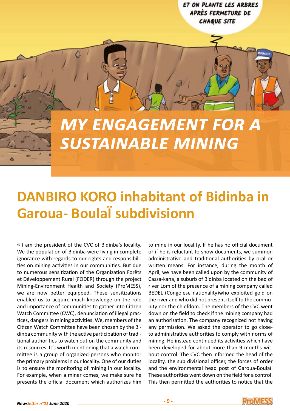ET ON PLANTE LES ARBRES APRÈS FERMETURE DE **CHAQUE SITE** 

# *My engagement for a sustainable mining*

### **DANBIRO KORO inhabitant of Bidinba in Garoua- BoulaÏ subdivisionn**

**«** I am the president of the CVC of Bidinba's locality. We the population of Bidinba were living in complete ignorance with regards to our rights and responsibilities on mining activities in our communities. But due to numerous sensitization of the Organization Forêts et Développement Rural (FODER) through the project Mining-Environment Health and Society (ProMESS), we are now better equipped. These sensitizations enabled us to acquire much knowledge on the role and importance of communities to gather into Citizen Watch Committee (CWC), denunciation of illegal practices, dangers in mining activities. We, members of the Citizen Watch Committee have been chosen by the Bidinba community with the active participation of traditional authorities to watch out on the community and its resources. It's worth mentioning that a watch committee is a group of organized persons who monitor the primary problems in our locality. One of our duties is to ensure the monitoring of mining in our locality. For example, when a miner comes, we make sure he presents the official document which authorizes him

to mine in our locality. If he has no official document or if he is reluctant to show documents, we summon administrative and traditional authorities by oral or written means. For instance, during the month of April, we have been called upon by the community of Cassa-kana, a suburb of Bidinba located on the bed of river Lom of the presence of a mining company called BEDEL (Congolese nationality)who exploited gold on the river and who did not present itself to the community nor the chiefdom. The members of the CVC went down on the field to check if the mining company had an authorization. The company recognized not having any permission. We asked the operator to go closeto administrative authorities to comply with norms of mining. He instead continued its activities which have been developed for about more than 9 months without control. The CVC then informed the head of the locality, the sub divisional officer, the forces of order and the environmental head post of Garoua-Boulaï. These authorities went down on the field for a control. This then permitted the authorities to notice that the



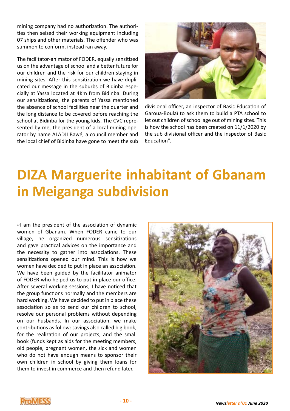mining company had no authorization. The authorities then seized their working equipment including 07 ships and other materials. The offender who was summon to conform, instead ran away.

The facilitator-animator of FODER, equally sensitized us on the advantage of school and a better future for our children and the risk for our children staying in mining sites. After this sensitization we have duplicated our message in the suburbs of Bidinba especially at Yassa located at 4Km from Bidinba. During our sensitizations, the parents of Yassa mentioned the absence of school facilities near the quarter and the long distance to be covered before reaching the school at Bidinba for the young kids. The CVC represented by me, the president of a local mining operator by name ALADJI Bawé, a council member and the local chief of Bidinba have gone to meet the sub



divisional officer, an inspector of Basic Education of Garoua-Boulaï to ask them to build a PTA school to let out children of school age out of mining sites. This is how the school has been created on 11/1/2020 by the sub divisional officer and the inspector of Basic Education".

## **DIZA Marguerite inhabitant of Gbanam in Meiganga subdivision**

«I am the president of the association of dynamic women of Gbanam. When FODER came to our village, he organized numerous sensitizations and gave practical advices on the importance and the necessity to gather into associations. These sensitizations opened our mind. This is how we women have decided to put in place an association. We have been guided by the facilitator animator of FODER who helped us to put in place our office. After several working sessions, I have noticed that the group functions normally and the members are hard working. We have decided to put in place these association so as to send our children to school, resolve our personal problems without depending on our husbands. In our association, we make contributions as follow: savings also called big book, for the realization of our projects, and the small book (funds kept as aids for the meeting members, old people, pregnant women, the sick and women who do not have enough means to sponsor their own children in school by giving them loans for them to invest in commerce and then refund later.



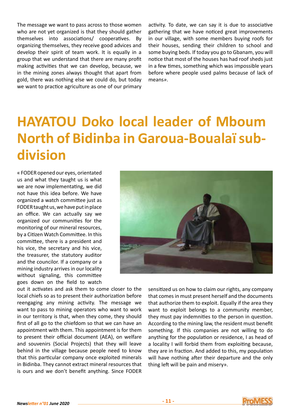The message we want to pass across to those women who are not yet organized is that they should gather themselves into associations/ cooperatives. By organizing themselves, they receive good advices and develop their spirit of team work. It is equally in a group that we understand that there are many profit making activities that we can develop, because, we in the mining zones always thought that apart from gold, there was nothing else we could do, but today we want to practice agriculture as one of our primary

activity. To date, we can say it is due to associative gathering that we have noticed great improvements in our village, with some members buying roofs for their houses, sending their children to school and some buying beds. If today you go to Gbanam, you will notice that most of the houses has had roof sheds just in a few times, something which was impossible years before where people used palms because of lack of means*»*.

## **HAYATOU Doko local leader of Mboum North of Bidinba in Garoua-Boualaï subdivision**

« FODER opened our eyes, orientated us and what they taught us is what we are now implementating, we did not have this idea before. We have organized a watch committee just as FODER taught us, we have put in place an office. We can actually say we organized our communities for the monitoring of our mineral resources, by a Citizen Watch Committee. In this committee, there is a president and his vice, the secretary and his vice, the treasurer, the statutory auditor and the councilor. If a company or a mining industry arrives in our locality without signaling, this committee goes down on the field to watch



out it activates and ask them to come closer to the local chiefs so as to present their authorization before reengaging any mining activity. The message we want to pass to mining operators who want to work in our territory is that, when they come, they should first of all go to the chiefdom so that we can have an appointment with them. This appointment is for them to present their official document (AEA), on welfare and souvenirs (Social Projects) that they will leave behind in the village because people need to know that this particular company once exploited minerals in Bidinba. They cannot extract mineral resources that is ours and we don't benefit anything. Since FODER

sensitized us on how to claim our rights, any company that comes in must present herself and the documents that authorize them to exploit. Equally if the area they want to exploit belongs to a community member, they must pay indemnities to the person in question. According to the mining law, the resident must benefit something. If this companies are not willing to do anything for the population or residence, I as head of a locality I will forbid them from exploiting because, they are in fraction. And added to this, my population will have nothing after their departure and the only thing left will be pain and misery».